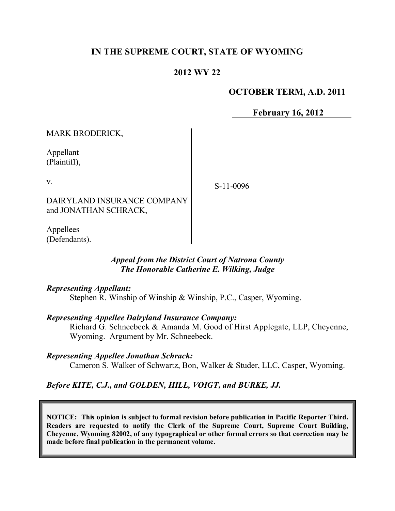# **IN THE SUPREME COURT, STATE OF WYOMING**

# **2012 WY 22**

## **OCTOBER TERM, A.D. 2011**

**February 16, 2012**

MARK BRODERICK,

Appellant (Plaintiff),

v.

DAIRYLAND INSURANCE COMPANY and JONATHAN SCHRACK,

Appellees (Defendants).

## *Appeal from the District Court of Natrona County The Honorable Catherine E. Wilking, Judge*

#### *Representing Appellant:*

Stephen R. Winship of Winship & Winship, P.C., Casper, Wyoming.

#### *Representing Appellee Dairyland Insurance Company:*

Richard G. Schneebeck & Amanda M. Good of Hirst Applegate, LLP, Cheyenne, Wyoming. Argument by Mr. Schneebeck.

#### *Representing Appellee Jonathan Schrack:*

Cameron S. Walker of Schwartz, Bon, Walker & Studer, LLC, Casper, Wyoming.

## *Before KITE, C.J., and GOLDEN, HILL, VOIGT, and BURKE, JJ.*

**NOTICE: This opinion is subject to formal revision before publication in Pacific Reporter Third. Readers are requested to notify the Clerk of the Supreme Court, Supreme Court Building, Cheyenne, Wyoming 82002, of any typographical or other formal errors so that correction may be made before final publication in the permanent volume.**

S-11-0096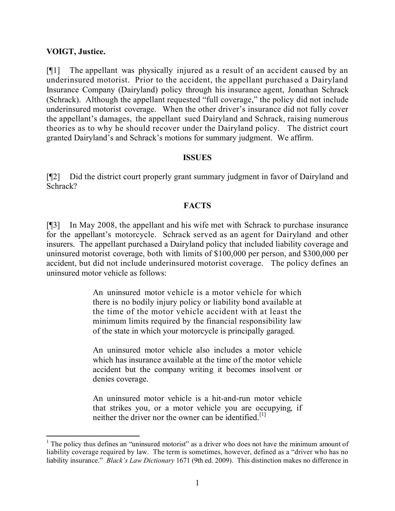## **VOIGT, Justice.**

[¶1] The appellant was physically injured as a result of an accident caused by an underinsured motorist. Prior to the accident, the appellant purchased a Dairyland Insurance Company (Dairyland) policy through his insurance agent, Jonathan Schrack (Schrack). Although the appellant requested "full coverage," the policy did not include underinsured motorist coverage. When the other driver's insurance did not fully cover the appellant's damages, the appellant sued Dairyland and Schrack, raising numerous theories as to why he should recover under the Dairyland policy. The district court granted Dairyland's and Schrack's motions for summary judgment. We affirm.

## **ISSUES**

[¶2] Did the district court properly grant summary judgment in favor of Dairyland and Schrack?

# **FACTS**

[¶3] In May 2008, the appellant and his wife met with Schrack to purchase insurance for the appellant's motorcycle. Schrack served as an agent for Dairyland and other insurers. The appellant purchased a Dairyland policy that included liability coverage and uninsured motorist coverage, both with limits of \$100,000 per person, and \$300,000 per accident, but did not include underinsured motorist coverage. The policy defines an uninsured motor vehicle as follows:

> An uninsured motor vehicle is a motor vehicle for which there is no bodily injury policy or liability bond available at the time of the motor vehicle accident with at least the minimum limits required by the financial responsibility law of the state in which your motorcycle is principally garaged.

> An uninsured motor vehicle also includes a motor vehicle which has insurance available at the time of the motor vehicle accident but the company writing it becomes insolvent or denies coverage.

> An uninsured motor vehicle is a hit-and-run motor vehicle that strikes you, or a motor vehicle you are occupying, if neither the driver nor the owner can be identified.<sup>[1]</sup>

l <sup>1</sup> The policy thus defines an "uninsured motorist" as a driver who does not have the minimum amount of liability coverage required by law. The term is sometimes, however, defined as a "driver who has no liability insurance." *Black's Law Dictionary* 1671 (9th ed. 2009). This distinction makes no difference in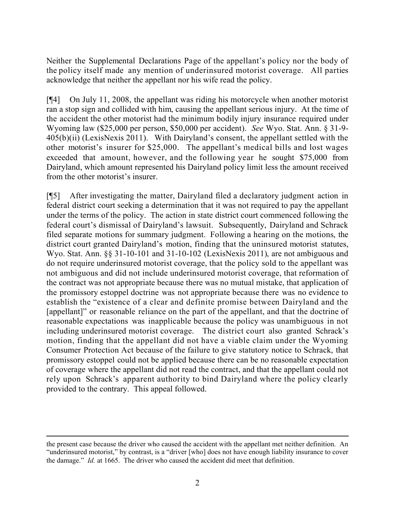Neither the Supplemental Declarations Page of the appellant's policy nor the body of the policy itself made any mention of underinsured motorist coverage. All parties acknowledge that neither the appellant nor his wife read the policy.

[¶4] On July 11, 2008, the appellant was riding his motorcycle when another motorist ran a stop sign and collided with him, causing the appellant serious injury. At the time of the accident the other motorist had the minimum bodily injury insurance required under Wyoming law (\$25,000 per person, \$50,000 per accident). *See* Wyo. Stat. Ann. § 31-9- 405(b)(ii) (LexisNexis 2011). With Dairyland's consent, the appellant settled with the other motorist's insurer for \$25,000. The appellant's medical bills and lost wages exceeded that amount, however, and the following year he sought \$75,000 from Dairyland, which amount represented his Dairyland policy limit less the amount received from the other motorist's insurer.

[¶5] After investigating the matter, Dairyland filed a declaratory judgment action in federal district court seeking a determination that it was not required to pay the appellant under the terms of the policy. The action in state district court commenced following the federal court's dismissal of Dairyland's lawsuit. Subsequently, Dairyland and Schrack filed separate motions for summary judgment. Following a hearing on the motions, the district court granted Dairyland's motion, finding that the uninsured motorist statutes, Wyo. Stat. Ann.  $\S$ § 31-10-101 and 31-10-102 (LexisNexis 2011), are not ambiguous and do not require underinsured motorist coverage, that the policy sold to the appellant was not ambiguous and did not include underinsured motorist coverage, that reformation of the contract was not appropriate because there was no mutual mistake, that application of the promissory estoppel doctrine was not appropriate because there was no evidence to establish the "existence of a clear and definite promise between Dairyland and the [appellant]" or reasonable reliance on the part of the appellant, and that the doctrine of reasonable expectations was inapplicable because the policy was unambiguous in not including underinsured motorist coverage. The district court also granted Schrack's motion, finding that the appellant did not have a viable claim under the Wyoming Consumer Protection Act because of the failure to give statutory notice to Schrack, that promissory estoppel could not be applied because there can be no reasonable expectation of coverage where the appellant did not read the contract, and that the appellant could not rely upon Schrack's apparent authority to bind Dairyland where the policy clearly provided to the contrary. This appeal followed.

l

the present case because the driver who caused the accident with the appellant met neither definition. An "underinsured motorist," by contrast, is a "driver [who] does not have enough liability insurance to cover the damage." *Id.* at 1665. The driver who caused the accident did meet that definition.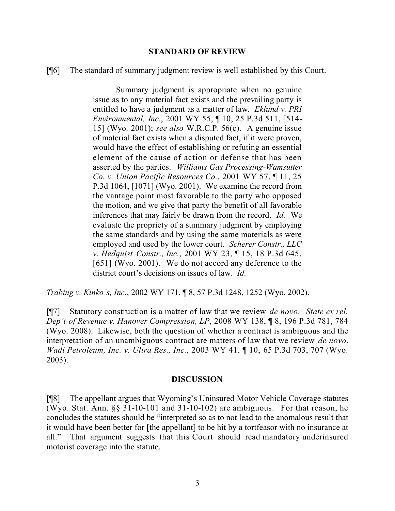#### **STANDARD OF REVIEW**

[¶6] The standard of summary judgment review is well established by this Court.

Summary judgment is appropriate when no genuine issue as to any material fact exists and the prevailing party is entitled to have a judgment as a matter of law. *Eklund v. PRI Environmental, Inc.*, 2001 WY 55, ¶ 10, 25 P.3d 511, [514- 15] (Wyo. 2001); *see also* W.R.C.P. 56(c). A genuine issue of material fact exists when a disputed fact, if it were proven, would have the effect of establishing or refuting an essential element of the cause of action or defense that has been asserted by the parties. *Williams Gas Processing-Wamsutter Co. v. Union Pacific Resources Co.*, 2001 WY 57, ¶ 11, 25 P.3d 1064, [1071] (Wyo. 2001). We examine the record from the vantage point most favorable to the party who opposed the motion, and we give that party the benefit of all favorable inferences that may fairly be drawn from the record. *Id.* We evaluate the propriety of a summary judgment by employing the same standards and by using the same materials as were employed and used by the lower court. *Scherer Constr., LLC v. Hedquist Constr., Inc.*, 2001 WY 23, ¶ 15, 18 P.3d 645, [651] (Wyo. 2001). We do not accord any deference to the district court's decisions on issues of law. *Id.*

*Trabing v. Kinko's, Inc.*, 2002 WY 171, ¶ 8, 57 P.3d 1248, 1252 (Wyo. 2002).

[¶7] Statutory construction is a matter of law that we review *de novo*. *State ex rel. Dep't of Revenue v. Hanover Compression, LP*, 2008 WY 138, ¶ 8, 196 P.3d 781, 784 (Wyo. 2008). Likewise, both the question of whether a contract is ambiguous and the interpretation of an unambiguous contract are matters of law that we review *de novo*. *Wadi Petroleum, Inc. v. Ultra Res., Inc.*, 2003 WY 41, ¶ 10, 65 P.3d 703, 707 (Wyo. 2003).

#### **DISCUSSION**

[¶8] The appellant argues that Wyoming's Uninsured Motor Vehicle Coverage statutes (Wyo. Stat. Ann. §§ 31-10-101 and 31-10-102) are ambiguous. For that reason, he concludes the statutes should be "interpreted so as to not lead to the anomalous result that it would have been better for [the appellant] to be hit by a tortfeasor with no insurance at all." That argument suggests that this Court should read mandatory underinsured motorist coverage into the statute.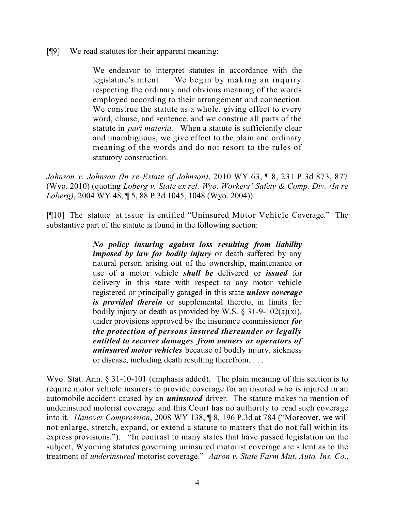## [¶9] We read statutes for their apparent meaning:

We endeavor to interpret statutes in accordance with the legislature's intent. We begin by making an inquiry respecting the ordinary and obvious meaning of the words employed according to their arrangement and connection. We construe the statute as a whole, giving effect to every word, clause, and sentence, and we construe all parts of the statute in *pari materia.* When a statute is sufficiently clear and unambiguous, we give effect to the plain and ordinary meaning of the words and do not resort to the rules of statutory construction.

*Johnson v. Johnson (In re Estate of Johnson)*, 2010 WY 63, ¶ 8, 231 P.3d 873, 877 (Wyo. 2010) (quoting *Loberg v. State ex rel. Wyo. Workers' Safety & Comp. Div. (In re Loberg)*, 2004 WY 48, ¶ 5, 88 P.3d 1045, 1048 (Wyo. 2004)).

[¶10] The statute at issue is entitled "Uninsured Motor Vehicle Coverage." The substantive part of the statute is found in the following section:

> *No policy insuring against loss resulting from liability imposed by law for bodily injury* or death suffered by any natural person arising out of the ownership, maintenance or use of a motor vehicle *shall be* delivered or *issued* for delivery in this state with respect to any motor vehicle registered or principally garaged in this state *unless coverage is provided therein* or supplemental thereto, in limits for bodily injury or death as provided by W.S.  $\S$  31-9-102(a)(xi), under provisions approved by the insurance commissioner *for the protection of persons insured thereunder or legally entitled to recover damages from owners or operators of uninsured motor vehicles* because of bodily injury, sickness or disease, including death resulting therefrom. . . .

Wyo. Stat. Ann. § 31-10-101 (emphasis added). The plain meaning of this section is to require motor vehicle insurers to provide coverage for an insured who is injured in an automobile accident caused by an *uninsured* driver. The statute makes no mention of underinsured motorist coverage and this Court has no authority to read such coverage into it. *Hanover Compression*, 2008 WY 138, ¶ 8, 196 P.3d at 784 ("Moreover, we will not enlarge, stretch, expand, or extend a statute to matters that do not fall within its express provisions."). "In contrast to many states that have passed legislation on the subject, Wyoming statutes governing uninsured motorist coverage are silent as to the treatment of *underinsured* motorist coverage." *Aaron v. State Farm Mut. Auto. Ins. Co.*,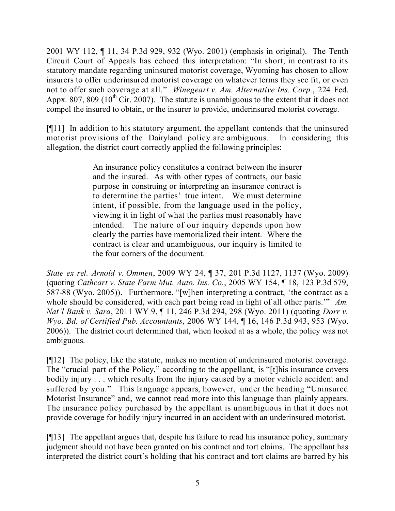2001 WY 112, ¶ 11, 34 P.3d 929, 932 (Wyo. 2001) (emphasis in original). The Tenth Circuit Court of Appeals has echoed this interpretation: "In short, in contrast to its statutory mandate regarding uninsured motorist coverage, Wyoming has chosen to allow insurers to offer underinsured motorist coverage on whatever terms they see fit, or even not to offer such coverage at all." *Winegeart v. Am. Alternative Ins. Corp.*, 224 Fed. Appx. 807, 809 ( $10^{th}$  Cir. 2007). The statute is unambiguous to the extent that it does not compel the insured to obtain, or the insurer to provide, underinsured motorist coverage.

[¶11] In addition to his statutory argument, the appellant contends that the uninsured motorist provisions of the Dairyland policy are ambiguous. In considering this allegation, the district court correctly applied the following principles:

> An insurance policy constitutes a contract between the insurer and the insured. As with other types of contracts, our basic purpose in construing or interpreting an insurance contract is to determine the parties' true intent. We must determine intent, if possible, from the language used in the policy, viewing it in light of what the parties must reasonably have intended. The nature of our inquiry depends upon how clearly the parties have memorialized their intent. Where the contract is clear and unambiguous, our inquiry is limited to the four corners of the document.

*State ex rel. Arnold v. Ommen*, 2009 WY 24, ¶ 37, 201 P.3d 1127, 1137 (Wyo. 2009) (quoting *Cathcart v. State Farm Mut. Auto. Ins. Co.*, 2005 WY 154, ¶ 18, 123 P.3d 579, 587-88 (Wyo. 2005)). Furthermore, "[w]hen interpreting a contract, 'the contract as a whole should be considered, with each part being read in light of all other parts." Am. *Nat'l Bank v. Sara*, 2011 WY 9, ¶ 11, 246 P.3d 294, 298 (Wyo. 2011) (quoting *Dorr v. Wyo. Bd. of Certified Pub. Accountants*, 2006 WY 144, ¶ 16, 146 P.3d 943, 953 (Wyo. 2006)). The district court determined that, when looked at as a whole, the policy was not ambiguous.

[¶12] The policy, like the statute, makes no mention of underinsured motorist coverage. The "crucial part of the Policy," according to the appellant, is "[t]his insurance covers bodily injury . . . which results from the injury caused by a motor vehicle accident and suffered by you." This language appears, however, under the heading "Uninsured Motorist Insurance" and, we cannot read more into this language than plainly appears. The insurance policy purchased by the appellant is unambiguous in that it does not provide coverage for bodily injury incurred in an accident with an underinsured motorist.

[¶13] The appellant argues that, despite his failure to read his insurance policy, summary judgment should not have been granted on his contract and tort claims. The appellant has interpreted the district court's holding that his contract and tort claims are barred by his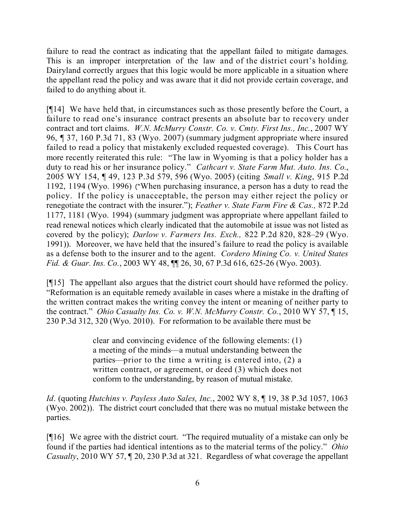failure to read the contract as indicating that the appellant failed to mitigate damages. This is an improper interpretation of the law and of the district court's holding. Dairyland correctly argues that this logic would be more applicable in a situation where the appellant read the policy and was aware that it did not provide certain coverage, and failed to do anything about it.

[¶14] We have held that, in circumstances such as those presently before the Court, a failure to read one's insurance contract presents an absolute bar to recovery under contract and tort claims. *W.N. McMurry Constr. Co. v. Cmty. First Ins., Inc.*, 2007 WY 96, ¶ 37, 160 P.3d 71, 83 (Wyo. 2007) (summary judgment appropriate where insured failed to read a policy that mistakenly excluded requested coverage). This Court has more recently reiterated this rule: "The law in Wyoming is that a policy holder has a duty to read his or her insurance policy." *Cathcart v. State Farm Mut. Auto. Ins. Co.*, 2005 WY 154, ¶ 49, 123 P.3d 579, 596 (Wyo. 2005) (citing *Small v. King*, 915 P.2d 1192, 1194 (Wyo. 1996) ("When purchasing insurance, a person has a duty to read the policy. If the policy is unacceptable, the person may either reject the policy or renegotiate the contract with the insurer."); *Feather v. State Farm Fire & Cas.,* 872 P.2d 1177, 1181 (Wyo. 1994) (summary judgment was appropriate where appellant failed to read renewal notices which clearly indicated that the automobile at issue was not listed as covered by the policy); *Darlow v. Farmers Ins. Exch.,* 822 P.2d 820, 828–29 (Wyo. 1991)). Moreover, we have held that the insured's failure to read the policy is available as a defense both to the insurer and to the agent. *Cordero Mining Co. v. United States Fid. & Guar. Ins. Co.*, 2003 WY 48, ¶¶ 26, 30, 67 P.3d 616, 625-26 (Wyo. 2003).

[¶15] The appellant also argues that the district court should have reformed the policy. "Reformation is an equitable remedy available in cases where a mistake in the drafting of the written contract makes the writing convey the intent or meaning of neither party to the contract." *Ohio Casualty Ins. Co. v. W.N. McMurry Constr. Co.*, 2010 WY 57, ¶ 15, 230 P.3d 312, 320 (Wyo. 2010). For reformation to be available there must be

> clear and convincing evidence of the following elements: (1) a meeting of the minds—a mutual understanding between the parties—prior to the time a writing is entered into, (2) a written contract, or agreement, or deed (3) which does not conform to the understanding, by reason of mutual mistake.

*Id*. (quoting *Hutchins v. Payless Auto Sales, Inc.*, 2002 WY 8, ¶ 19, 38 P.3d 1057, 1063 (Wyo. 2002)). The district court concluded that there was no mutual mistake between the parties.

[¶16] We agree with the district court. "The required mutuality of a mistake can only be found if the parties had identical intentions as to the material terms of the policy." *Ohio Casualty*, 2010 WY 57, ¶ 20, 230 P.3d at 321. Regardless of what coverage the appellant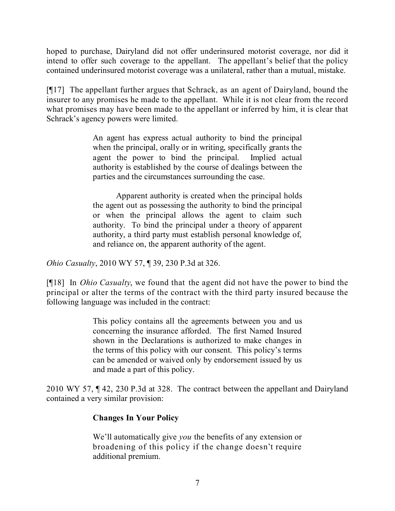hoped to purchase, Dairyland did not offer underinsured motorist coverage, nor did it intend to offer such coverage to the appellant. The appellant's belief that the policy contained underinsured motorist coverage was a unilateral, rather than a mutual, mistake.

[¶17] The appellant further argues that Schrack, as an agent of Dairyland, bound the insurer to any promises he made to the appellant. While it is not clear from the record what promises may have been made to the appellant or inferred by him, it is clear that Schrack's agency powers were limited.

> An agent has express actual authority to bind the principal when the principal, orally or in writing, specifically grants the agent the power to bind the principal. Implied actual authority is established by the course of dealings between the parties and the circumstances surrounding the case.

> Apparent authority is created when the principal holds the agent out as possessing the authority to bind the principal or when the principal allows the agent to claim such authority. To bind the principal under a theory of apparent authority, a third party must establish personal knowledge of, and reliance on, the apparent authority of the agent.

*Ohio Casualty*, 2010 WY 57, ¶ 39, 230 P.3d at 326.

[¶18] In *Ohio Casualty*, we found that the agent did not have the power to bind the principal or alter the terms of the contract with the third party insured because the following language was included in the contract:

> This policy contains all the agreements between you and us concerning the insurance afforded. The first Named Insured shown in the Declarations is authorized to make changes in the terms of this policy with our consent. This policy's terms can be amended or waived only by endorsement issued by us and made a part of this policy.

2010 WY 57, ¶ 42, 230 P.3d at 328. The contract between the appellant and Dairyland contained a very similar provision:

# **Changes In Your Policy**

We'll automatically give *you* the benefits of any extension or broadening of this policy if the change doesn't require additional premium.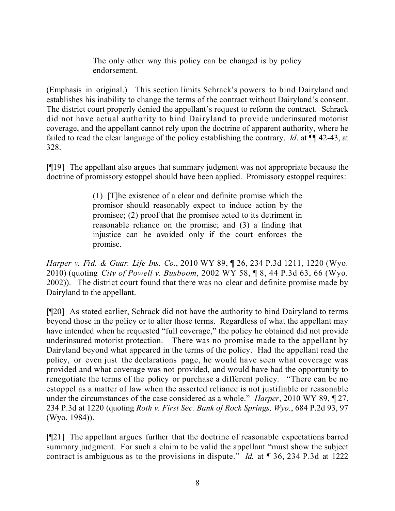The only other way this policy can be changed is by policy endorsement.

(Emphasis in original.) This section limits Schrack's powers to bind Dairyland and establishes his inability to change the terms of the contract without Dairyland's consent. The district court properly denied the appellant's request to reform the contract. Schrack did not have actual authority to bind Dairyland to provide underinsured motorist coverage, and the appellant cannot rely upon the doctrine of apparent authority, where he failed to read the clear language of the policy establishing the contrary. *Id*. at ¶¶ 42-43, at 328.

[¶19] The appellant also argues that summary judgment was not appropriate because the doctrine of promissory estoppel should have been applied. Promissory estoppel requires:

> (1) [T]he existence of a clear and definite promise which the promisor should reasonably expect to induce action by the promisee; (2) proof that the promisee acted to its detriment in reasonable reliance on the promise; and (3) a finding that injustice can be avoided only if the court enforces the promise.

*Harper v. Fid. & Guar. Life Ins. Co.*, 2010 WY 89, ¶ 26, 234 P.3d 1211, 1220 (Wyo. 2010) (quoting *City of Powell v. Busboom*, 2002 WY 58, ¶ 8, 44 P.3d 63, 66 (Wyo. 2002)). The district court found that there was no clear and definite promise made by Dairyland to the appellant.

[¶20] As stated earlier, Schrack did not have the authority to bind Dairyland to terms beyond those in the policy or to alter those terms. Regardless of what the appellant may have intended when he requested "full coverage," the policy he obtained did not provide underinsured motorist protection. There was no promise made to the appellant by Dairyland beyond what appeared in the terms of the policy. Had the appellant read the policy, or even just the declarations page, he would have seen what coverage was provided and what coverage was not provided, and would have had the opportunity to renegotiate the terms of the policy or purchase a different policy. "There can be no estoppel as a matter of law when the asserted reliance is not justifiable or reasonable under the circumstances of the case considered as a whole." *Harper*, 2010 WY 89, ¶ 27, 234 P.3d at 1220 (quoting *Roth v. First Sec. Bank of Rock Springs, Wyo.*, 684 P.2d 93, 97 (Wyo. 1984)).

[¶21] The appellant argues further that the doctrine of reasonable expectations barred summary judgment. For such a claim to be valid the appellant "must show the subject contract is ambiguous as to the provisions in dispute." *Id.* at ¶ 36, 234 P.3d at 1222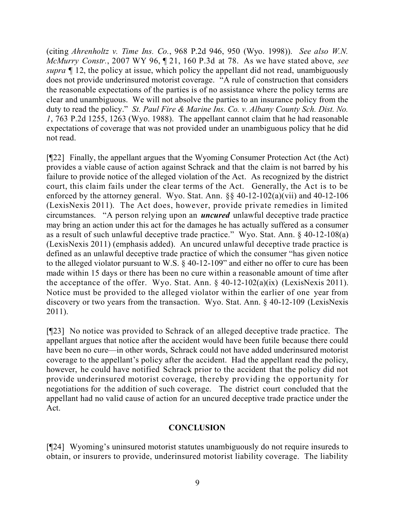(citing *Ahrenholtz v. Time Ins. Co.*, 968 P.2d 946, 950 (Wyo. 1998)). *See also W.N. McMurry Constr.*, 2007 WY 96, ¶ 21, 160 P.3d at 78. As we have stated above, *see supra* ¶ 12, the policy at issue, which policy the appellant did not read, unambiguously does not provide underinsured motorist coverage. "A rule of construction that considers the reasonable expectations of the parties is of no assistance where the policy terms are clear and unambiguous. We will not absolve the parties to an insurance policy from the duty to read the policy." *St. Paul Fire & Marine Ins. Co. v. Albany County Sch. Dist. No. 1*, 763 P.2d 1255, 1263 (Wyo. 1988). The appellant cannot claim that he had reasonable expectations of coverage that was not provided under an unambiguous policy that he did not read.

[¶22] Finally, the appellant argues that the Wyoming Consumer Protection Act (the Act) provides a viable cause of action against Schrack and that the claim is not barred by his failure to provide notice of the alleged violation of the Act. As recognized by the district court, this claim fails under the clear terms of the Act. Generally, the Act is to be enforced by the attorney general. Wyo. Stat. Ann. §§ 40-12-102(a)(vii) and 40-12-106 (LexisNexis 2011). The Act does, however, provide private remedies in limited circumstances. "A person relying upon an *uncured* unlawful deceptive trade practice may bring an action under this act for the damages he has actually suffered as a consumer as a result of such unlawful deceptive trade practice." Wyo. Stat. Ann. § 40-12-108(a) (LexisNexis 2011) (emphasis added). An uncured unlawful deceptive trade practice is defined as an unlawful deceptive trade practice of which the consumer "has given notice to the alleged violator pursuant to W.S. § 40-12-109" and either no offer to cure has been made within 15 days or there has been no cure within a reasonable amount of time after the acceptance of the offer. Wyo. Stat. Ann.  $\S$  40-12-102(a)(ix) (LexisNexis 2011). Notice must be provided to the alleged violator within the earlier of one year from discovery or two years from the transaction. Wyo. Stat. Ann. § 40-12-109 (LexisNexis 2011).

[¶23] No notice was provided to Schrack of an alleged deceptive trade practice. The appellant argues that notice after the accident would have been futile because there could have been no cure—in other words, Schrack could not have added underinsured motorist coverage to the appellant's policy after the accident. Had the appellant read the policy, however, he could have notified Schrack prior to the accident that the policy did not provide underinsured motorist coverage, thereby providing the opportunity for negotiations for the addition of such coverage. The district court concluded that the appellant had no valid cause of action for an uncured deceptive trade practice under the Act.

# **CONCLUSION**

[¶24] Wyoming's uninsured motorist statutes unambiguously do not require insureds to obtain, or insurers to provide, underinsured motorist liability coverage. The liability